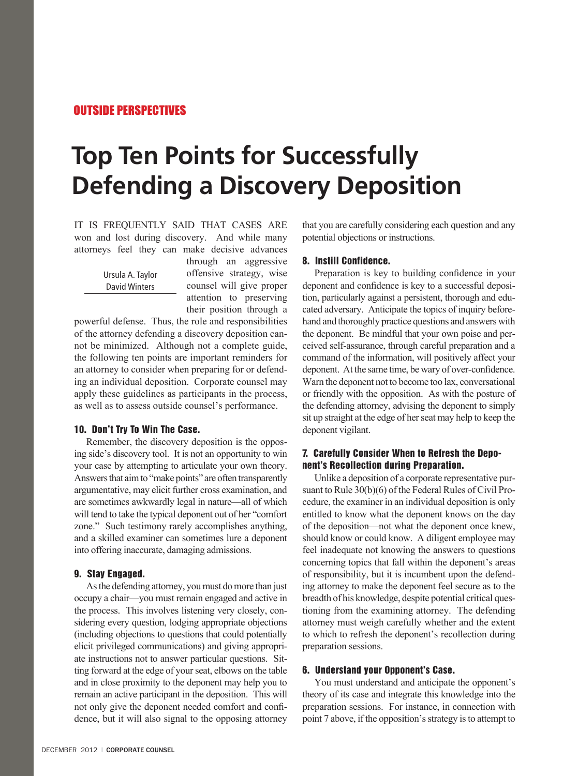# OUTSIDE PERSPECTIVES

# **Top Ten Points for Successfully Defending a Discovery Deposition**

IT IS FREQUENTLY SAID THAT CASES ARE won and lost during discovery. And while many attorneys feel they can make decisive advances

> Ursula A. Taylor David Winters

through an aggressive offensive strategy, wise counsel will give proper attention to preserving their position through a

powerful defense. Thus, the role and responsibilities of the attorney defending a discovery deposition cannot be minimized. Although not a complete guide, the following ten points are important reminders for an attorney to consider when preparing for or defending an individual deposition. Corporate counsel may apply these guidelines as participants in the process, as well as to assess outside counsel's performance.

### 10. Don't Try To Win The Case.

Remember, the discovery deposition is the opposing side's discovery tool. It is not an opportunity to win your case by attempting to articulate your own theory. Answers that aim to "make points" are often transparently argumentative, may elicit further cross examination, and are sometimes awkwardly legal in nature—all of which will tend to take the typical deponent out of her "comfort zone." Such testimony rarely accomplishes anything, and a skilled examiner can sometimes lure a deponent into offering inaccurate, damaging admissions.

### 9. Stay Engaged.

As the defending attorney, you must do more than just occupy a chair—you must remain engaged and active in the process. This involves listening very closely, considering every question, lodging appropriate objections (including objections to questions that could potentially elicit privileged communications) and giving appropriate instructions not to answer particular questions. Sitting forward at the edge of your seat, elbows on the table and in close proximity to the deponent may help you to remain an active participant in the deposition. This will not only give the deponent needed comfort and confidence, but it will also signal to the opposing attorney that you are carefully considering each question and any potential objections or instructions.

#### 8. Instill Confidence.

Preparation is key to building confidence in your deponent and confidence is key to a successful deposition, particularly against a persistent, thorough and educated adversary. Anticipate the topics of inquiry beforehand and thoroughly practice questions and answers with the deponent. Be mindful that your own poise and perceived self-assurance, through careful preparation and a command of the information, will positively affect your deponent. At the same time, be wary of over-confidence. Warn the deponent not to become too lax, conversational or friendly with the opposition. As with the posture of the defending attorney, advising the deponent to simply sit up straight at the edge of her seat may help to keep the deponent vigilant.

# 7. Carefully Consider When to Refresh the Deponent's Recollection during Preparation.

Unlike a deposition of a corporate representative pursuant to Rule 30(b)(6) of the Federal Rules of Civil Procedure, the examiner in an individual deposition is only entitled to know what the deponent knows on the day of the deposition—not what the deponent once knew, should know or could know. A diligent employee may feel inadequate not knowing the answers to questions concerning topics that fall within the deponent's areas of responsibility, but it is incumbent upon the defending attorney to make the deponent feel secure as to the breadth of his knowledge, despite potential critical questioning from the examining attorney. The defending attorney must weigh carefully whether and the extent to which to refresh the deponent's recollection during preparation sessions.

#### 6. Understand your Opponent's Case.

You must understand and anticipate the opponent's theory of its case and integrate this knowledge into the preparation sessions. For instance, in connection with point 7 above, if the opposition's strategy is to attempt to